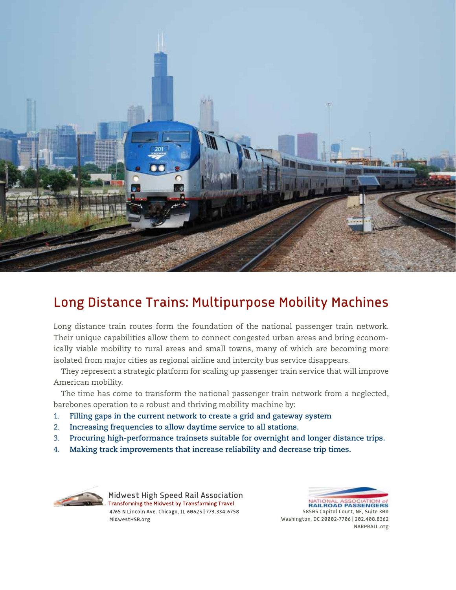

# Long Distance Trains: Multipurpose Mobility Machines

Long distance train routes form the foundation of the national passenger train network. Their unique capabilities allow them to connect congested urban areas and bring economically viable mobility to rural areas and small towns, many of which are becoming more isolated from major cities as regional airline and intercity bus service disappears.

They represent a strategic platform for scaling up passenger train service that will improve American mobility.

The time has come to transform the national passenger train network from a neglected, barebones operation to a robust and thriving mobility machine by:

- 1. **Filling gaps in the current network to create a grid and gateway system**
- 2. **Increasing frequencies to allow daytime service to all stations.**
- 3. **Procuring high-performance trainsets suitable for overnight and longer distance trips.**
- 4. **Making track improvements that increase reliability and decrease trip times.**



Midwest High Speed Rail Association Transforming the Midwest by Transforming Travel 4765 N Lincoln Ave. Chicago, IL 60625 | 773.334.6758 MidwestHSR.org

RAILROAD PASSENGERS 58505 Capitol Court, NE, Suite 300

Washington, DC 20002-7706 | 202.408.8362 NARPRAIL.org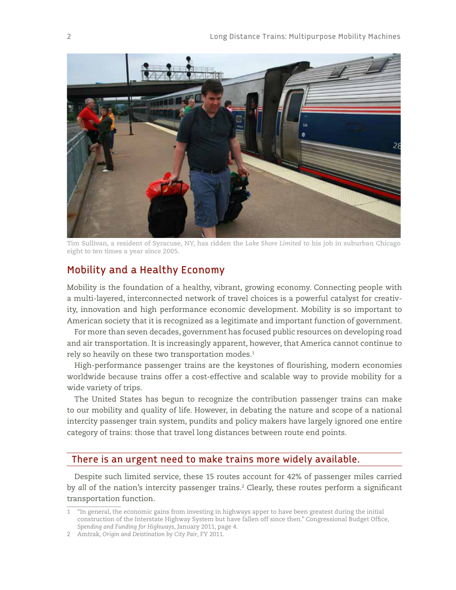

**Tim Sullivan, a resident of Syracuse, NY, has ridden the** *Lake Shore Limited* **to his job in suburban Chicago eight to ten times a year since 2005.**

### Mobility and a Healthy Economy

Mobility is the foundation of a healthy, vibrant, growing economy. Connecting people with a multi-layered, interconnected network of travel choices is a powerful catalyst for creativity, innovation and high performance economic development. Mobility is so important to American society that it is recognized as a legitimate and important function of government.

For more than seven decades, government has focused public resources on developing road and air transportation. It is increasingly apparent, however, that America cannot continue to rely so heavily on these two transportation modes.<sup>1</sup>

High-performance passenger trains are the keystones of flourishing, modern economies worldwide because trains offer a cost-effective and scalable way to provide mobility for a wide variety of trips.

The United States has begun to recognize the contribution passenger trains can make to our mobility and quality of life. However, in debating the nature and scope of a national intercity passenger train system, pundits and policy makers have largely ignored one entire category of trains: those that travel long distances between route end points.

#### There is an urgent need to make trains more widely available.

Despite such limited service, these 15 routes account for 42% of passenger miles carried by all of the nation's intercity passenger trains.<sup>2</sup> Clearly, these routes perform a significant transportation function.

<sup>1</sup> "In general, the economic gains from investing in highways apper to have been greatest during the initial construction of the Interstate Highway System but have fallen off since then." Congressional Budget Office, *Spending and Funding for Highways*, January 2011, page 4.

<sup>2</sup> Amtrak, *Origin and Deistination by City Pair*, FY 2011.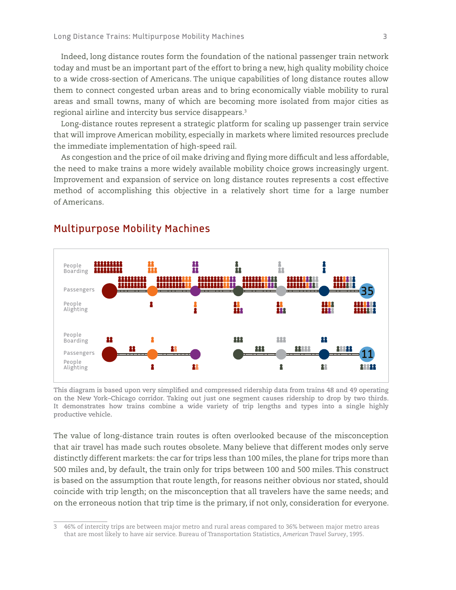Indeed, long distance routes form the foundation of the national passenger train network today and must be an important part of the effort to bring a new, high quality mobility choice to a wide cross-section of Americans. The unique capabilities of long distance routes allow them to connect congested urban areas and to bring economically viable mobility to rural areas and small towns, many of which are becoming more isolated from major cities as regional airline and intercity bus service disappears.3

Long-distance routes represent a strategic platform for scaling up passenger train service that will improve American mobility, especially in markets where limited resources preclude the immediate implementation of high-speed rail.

As congestion and the price of oil make driving and flying more difficult and less affordable, the need to make trains a more widely available mobility choice grows increasingly urgent. Improvement and expansion of service on long distance routes represents a cost effective method of accomplishing this objective in a relatively short time for a large number of Americans.



## Multipurpose Mobility Machines

**This diagram is based upon very simplified and compressed ridership data from trains 48 and 49 operating on the New York–Chicago corridor. Taking out just one segment causes ridership to drop by two thirds. It demonstrates how trains combine a wide variety of trip lengths and types into a single highly productive vehicle.**

The value of long-distance train routes is often overlooked because of the misconception that air travel has made such routes obsolete. Many believe that different modes only serve distinctly different markets: the car for trips less than 100 miles, the plane for trips more than 500 miles and, by default, the train only for trips between 100 and 500 miles. This construct is based on the assumption that route length, for reasons neither obvious nor stated, should coincide with trip length; on the misconception that all travelers have the same needs; and on the erroneous notion that trip time is the primary, if not only, consideration for everyone.

<sup>3</sup> 46% of intercity trips are between major metro and rural areas compared to 36% between major metro areas that are most likely to have air service. Bureau of Transportation Statistics, *American Travel Survey*, 1995.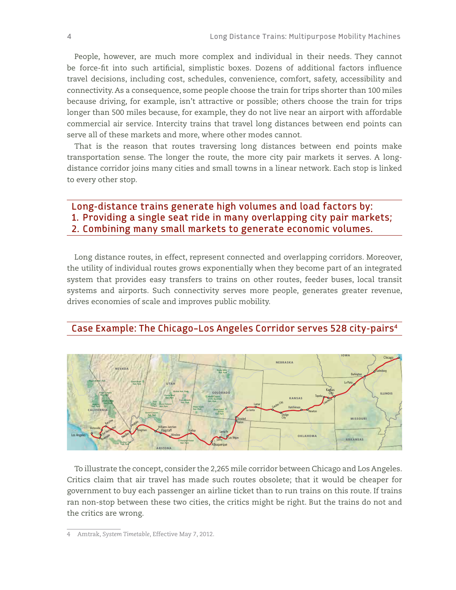People, however, are much more complex and individual in their needs. They cannot be force-fit into such artificial, simplistic boxes. Dozens of additional factors influence travel decisions, including cost, schedules, convenience, comfort, safety, accessibility and connectivity. As a consequence, some people choose the train for trips shorter than 100 miles because driving, for example, isn't attractive or possible; others choose the train for trips longer than 500 miles because, for example, they do not live near an airport with affordable commercial air service. Intercity trains that travel long distances between end points can serve all of these markets and more, where other modes cannot.

That is the reason that routes traversing long distances between end points make transportation sense. The longer the route, the more city pair markets it serves. A longdistance corridor joins many cities and small towns in a linear network. Each stop is linked to every other stop.

Long-distance trains generate high volumes and load factors by: 1. Providing a single seat ride in many overlapping city pair markets; 2. Combining many small markets to generate economic volumes.

Long distance routes, in effect, represent connected and overlapping corridors. Moreover, the utility of individual routes grows exponentially when they become part of an integrated system that provides easy transfers to trains on other routes, feeder buses, local transit systems and airports. Such connectivity serves more people, generates greater revenue, drives economies of scale and improves public mobility.

# Case Example: The Chicago–Los Angeles Corridor serves 528 city-pairs4



To illustrate the concept, consider the 2,265 mile corridor between Chicago and Los Angeles. Critics claim that air travel has made such routes obsolete; that it would be cheaper for government to buy each passenger an airline ticket than to run trains on this route. If trains ran non-stop between these two cities, the critics might be right. But the trains do not and the critics are wrong.

<sup>4</sup> Amtrak, *System Timetable*, Effective May 7, 2012.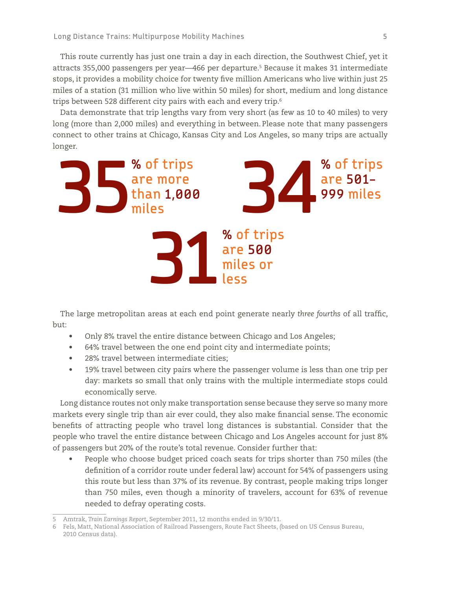This route currently has just one train a day in each direction, the Southwest Chief, yet it attracts 355,000 passengers per year—466 per departure.<sup>5</sup> Because it makes 31 intermediate stops, it provides a mobility choice for twenty five million Americans who live within just 25 miles of a station (31 million who live within 50 miles) for short, medium and long distance trips between 528 different city pairs with each and every trip.<sup>6</sup>

Data demonstrate that trip lengths vary from very short (as few as 10 to 40 miles) to very long (more than 2,000 miles) and everything in between. Please note that many passengers connect to other trains at Chicago, Kansas City and Los Angeles, so many trips are actually longer.



The large metropolitan areas at each end point generate nearly *three fourths* of all traffic, but:

- Only 8% travel the entire distance between Chicago and Los Angeles;
- • 64% travel between the one end point city and intermediate points;
- 28% travel between intermediate cities:
- 19% travel between city pairs where the passenger volume is less than one trip per day: markets so small that only trains with the multiple intermediate stops could economically serve.

Long distance routes not only make transportation sense because they serve so many more markets every single trip than air ever could, they also make financial sense. The economic benefits of attracting people who travel long distances is substantial. Consider that the people who travel the entire distance between Chicago and Los Angeles account for just 8% of passengers but 20% of the route's total revenue. Consider further that:

People who choose budget priced coach seats for trips shorter than 750 miles (the definition of a corridor route under federal law) account for 54% of passengers using this route but less than 37% of its revenue. By contrast, people making trips longer than 750 miles, even though a minority of travelers, account for 63% of revenue needed to defray operating costs.

<sup>5</sup> Amtrak, *Train Earnings Report*, September 2011, 12 months ended in 9/30/11.

<sup>6</sup> Fels, Matt, National Association of Railroad Passengers, Route Fact Sheets, (based on US Census Bureau, 2010 Census data).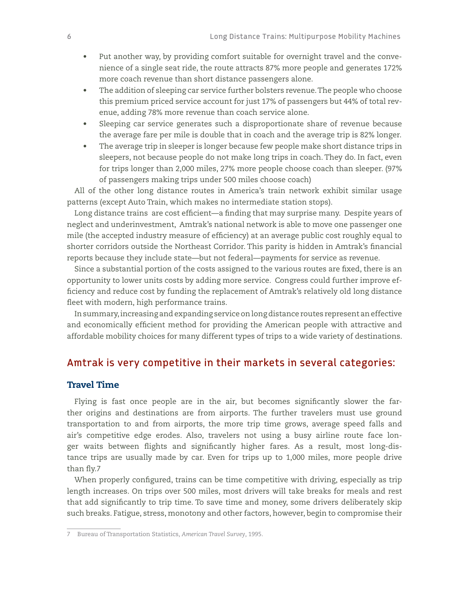- Put another way, by providing comfort suitable for overnight travel and the convenience of a single seat ride, the route attracts 87% more people and generates 172% more coach revenue than short distance passengers alone.
- The addition of sleeping car service further bolsters revenue. The people who choose this premium priced service account for just 17% of passengers but 44% of total revenue, adding 78% more revenue than coach service alone.
- Sleeping car service generates such a disproportionate share of revenue because the average fare per mile is double that in coach and the average trip is 82% longer.
- The average trip in sleeper is longer because few people make short distance trips in sleepers, not because people do not make long trips in coach. They do. In fact, even for trips longer than 2,000 miles, 27% more people choose coach than sleeper. (97% of passengers making trips under 500 miles choose coach)

All of the other long distance routes in America's train network exhibit similar usage patterns (except Auto Train, which makes no intermediate station stops).

Long distance trains are cost efficient—a finding that may surprise many. Despite years of neglect and underinvestment, Amtrak's national network is able to move one passenger one mile (the accepted industry measure of efficiency) at an average public cost roughly equal to shorter corridors outside the Northeast Corridor. This parity is hidden in Amtrak's financial reports because they include state—but not federal—payments for service as revenue.

Since a substantial portion of the costs assigned to the various routes are fixed, there is an opportunity to lower units costs by adding more service. Congress could further improve efficiency and reduce cost by funding the replacement of Amtrak's relatively old long distance fleet with modern, high performance trains.

In summary, increasing and expanding service on long distance routes represent an effective and economically efficient method for providing the American people with attractive and affordable mobility choices for many different types of trips to a wide variety of destinations.

# Amtrak is very competitive in their markets in several categories:

#### Travel Time

Flying is fast once people are in the air, but becomes significantly slower the farther origins and destinations are from airports. The further travelers must use ground transportation to and from airports, the more trip time grows, average speed falls and air's competitive edge erodes. Also, travelers not using a busy airline route face longer waits between flights and significantly higher fares. As a result, most long-distance trips are usually made by car. Even for trips up to 1,000 miles, more people drive than fly.7

When properly configured, trains can be time competitive with driving, especially as trip length increases. On trips over 500 miles, most drivers will take breaks for meals and rest that add significantly to trip time. To save time and money, some drivers deliberately skip such breaks. Fatigue, stress, monotony and other factors, however, begin to compromise their

<sup>7</sup> Bureau of Transportation Statistics, *American Travel Survey*, 1995.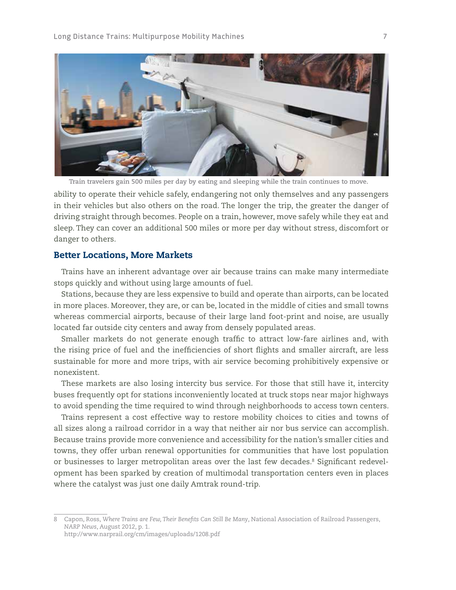

**Train travelers gain 500 miles per day by eating and sleeping while the train continues to move.**

ability to operate their vehicle safely, endangering not only themselves and any passengers in their vehicles but also others on the road. The longer the trip, the greater the danger of driving straight through becomes. People on a train, however, move safely while they eat and sleep. They can cover an additional 500 miles or more per day without stress, discomfort or danger to others.

#### Better Locations, More Markets

Trains have an inherent advantage over air because trains can make many intermediate stops quickly and without using large amounts of fuel.

Stations, because they are less expensive to build and operate than airports, can be located in more places. Moreover, they are, or can be, located in the middle of cities and small towns whereas commercial airports, because of their large land foot-print and noise, are usually located far outside city centers and away from densely populated areas.

Smaller markets do not generate enough traffic to attract low-fare airlines and, with the rising price of fuel and the inefficiencies of short flights and smaller aircraft, are less sustainable for more and more trips, with air service becoming prohibitively expensive or nonexistent.

These markets are also losing intercity bus service. For those that still have it, intercity buses frequently opt for stations inconveniently located at truck stops near major highways to avoid spending the time required to wind through neighborhoods to access town centers.

Trains represent a cost effective way to restore mobility choices to cities and towns of all sizes along a railroad corridor in a way that neither air nor bus service can accomplish. Because trains provide more convenience and accessibility for the nation's smaller cities and towns, they offer urban renewal opportunities for communities that have lost population or businesses to larger metropolitan areas over the last few decades.<sup>8</sup> Significant redevelopment has been sparked by creation of multimodal transportation centers even in places where the catalyst was just one daily Amtrak round-trip.

<sup>8</sup> Capon, Ross, *Where Trains are Few, Their Benefits Can Still Be Many*, National Association of Railroad Passengers, *NARP News*, August 2012, p. 1. http://www.narprail.org/cm/images/uploads/1208.pdf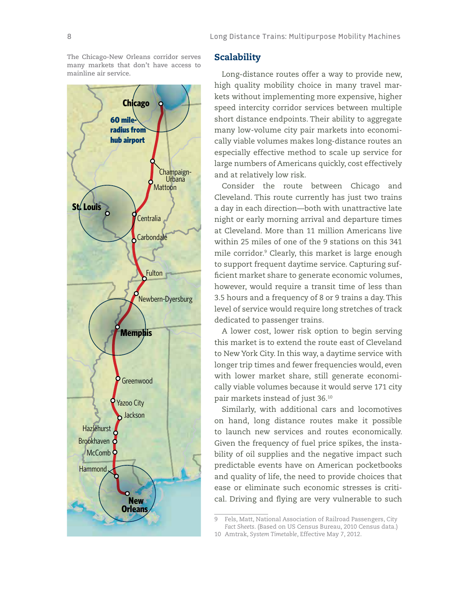**The Chicago-New Orleans corridor serves many markets that don't have access to mainline air service.**



#### **Scalability**

Long-distance routes offer a way to provide new, high quality mobility choice in many travel markets without implementing more expensive, higher speed intercity corridor services between multiple short distance endpoints. Their ability to aggregate many low-volume city pair markets into economically viable volumes makes long-distance routes an especially effective method to scale up service for large numbers of Americans quickly, cost effectively and at relatively low risk.

Consider the route between Chicago and Cleveland. This route currently has just two trains a day in each direction—both with unattractive late night or early morning arrival and departure times at Cleveland. More than 11 million Americans live within 25 miles of one of the 9 stations on this 341 mile corridor.9 Clearly, this market is large enough to support frequent daytime service. Capturing sufficient market share to generate economic volumes, however, would require a transit time of less than 3.5 hours and a frequency of 8 or 9 trains a day. This level of service would require long stretches of track dedicated to passenger trains.

A lower cost, lower risk option to begin serving this market is to extend the route east of Cleveland to New York City. In this way, a daytime service with longer trip times and fewer frequencies would, even with lower market share, still generate economically viable volumes because it would serve 171 city pair markets instead of just 36.10

Similarly, with additional cars and locomotives on hand, long distance routes make it possible to launch new services and routes economically. Given the frequency of fuel price spikes, the instability of oil supplies and the negative impact such predictable events have on American pocketbooks and quality of life, the need to provide choices that ease or eliminate such economic stresses is critical. Driving and flying are very vulnerable to such

<sup>9</sup> Fels, Matt, National Association of Railroad Passengers, *City Fact Sheets*. (Based on US Census Bureau, 2010 Census data.)

<sup>10</sup> Amtrak, *System Timetable*, Effective May 7, 2012.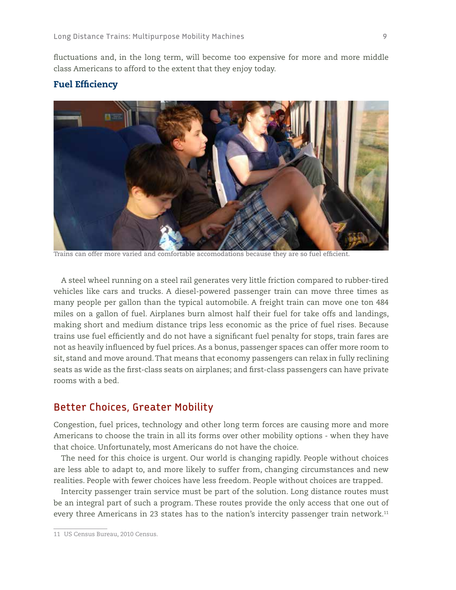fluctuations and, in the long term, will become too expensive for more and more middle class Americans to afford to the extent that they enjoy today.

#### Fuel Efficiency



**Trains can offer more varied and comfortable accomodations because they are so fuel efficient.**

A steel wheel running on a steel rail generates very little friction compared to rubber-tired vehicles like cars and trucks. A diesel-powered passenger train can move three times as many people per gallon than the typical automobile. A freight train can move one ton 484 miles on a gallon of fuel. Airplanes burn almost half their fuel for take offs and landings, making short and medium distance trips less economic as the price of fuel rises. Because trains use fuel efficiently and do not have a significant fuel penalty for stops, train fares are not as heavily influenced by fuel prices. As a bonus, passenger spaces can offer more room to sit, stand and move around. That means that economy passengers can relax in fully reclining seats as wide as the first-class seats on airplanes; and first-class passengers can have private rooms with a bed.

# Better Choices, Greater Mobility

Congestion, fuel prices, technology and other long term forces are causing more and more Americans to choose the train in all its forms over other mobility options - when they have that choice. Unfortunately, most Americans do not have the choice.

The need for this choice is urgent. Our world is changing rapidly. People without choices are less able to adapt to, and more likely to suffer from, changing circumstances and new realities. People with fewer choices have less freedom. People without choices are trapped.

Intercity passenger train service must be part of the solution. Long distance routes must be an integral part of such a program. These routes provide the only access that one out of every three Americans in 23 states has to the nation's intercity passenger train network.<sup>11</sup>

<sup>11</sup> US Census Bureau, 2010 Census.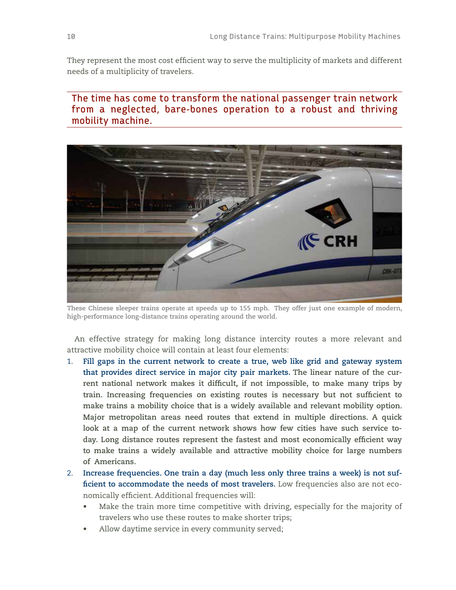They represent the most cost efficient way to serve the multiplicity of markets and different needs of a multiplicity of travelers.

# The time has come to transform the national passenger train network from a neglected, bare-bones operation to a robust and thriving mobility machine.



**These Chinese sleeper trains operate at speeds up to 155 mph. They offer just one example of modern, high-performance long-distance trains operating around the world.**

An effective strategy for making long distance intercity routes a more relevant and attractive mobility choice will contain at least four elements:

- 1. **Fill gaps in the current network to create a true, web like grid and gateway system that provides direct service in major city pair markets. The linear nature of the current national network makes it difficult, if not impossible, to make many trips by train. Increasing frequencies on existing routes is necessary but not sufficient to make trains a mobility choice that is a widely available and relevant mobility option. Major metropolitan areas need routes that extend in multiple directions. A quick look at a map of the current network shows how few cities have such service today. Long distance routes represent the fastest and most economically efficient way to make trains a widely available and attractive mobility choice for large numbers of Americans.**
- 2. **Increase frequencies. One train a day (much less only three trains a week) is not sufficient to accommodate the needs of most travelers.** Low frequencies also are not economically efficient. Additional frequencies will:
	- Make the train more time competitive with driving, especially for the majority of travelers who use these routes to make shorter trips;
	- Allow daytime service in every community served;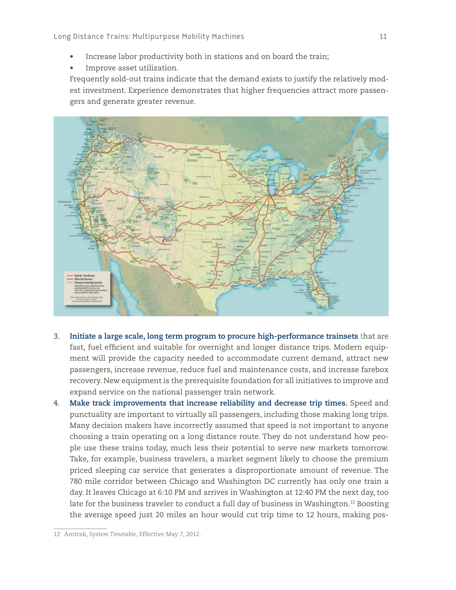- Increase labor productivity both in stations and on board the train;
- Improve asset utilization.

Frequently sold-out trains indicate that the demand exists to justify the relatively modest investment. Experience demonstrates that higher frequencies attract more passengers and generate greater revenue.



- 3. **Initiate a large scale, long term program to procure high-performance trainsets** that are fast, fuel efficient and suitable for overnight and longer distance trips. Modern equipment will provide the capacity needed to accommodate current demand, attract new passengers, increase revenue, reduce fuel and maintenance costs, and increase farebox recovery. New equipment is the prerequisite foundation for all initiatives to improve and expand service on the national passenger train network.
- 4. **Make track improvements that increase reliability and decrease trip times.** Speed and punctuality are important to virtually all passengers, including those making long trips. Many decision makers have incorrectly assumed that speed is not important to anyone choosing a train operating on a long distance route. They do not understand how people use these trains today, much less their potential to serve new markets tomorrow. Take, for example, business travelers, a market segment likely to choose the premium priced sleeping car service that generates a disproportionate amount of revenue. The 780 mile corridor between Chicago and Washington DC currently has only one train a day. It leaves Chicago at 6:10 PM and arrives in Washington at 12:40 PM the next day, too late for the business traveler to conduct a full day of business in Washington.<sup>12</sup> Boosting the average speed just 20 miles an hour would cut trip time to 12 hours, making pos-

<sup>12</sup> Amtrak, *System Timetable*, Effective May 7, 2012.